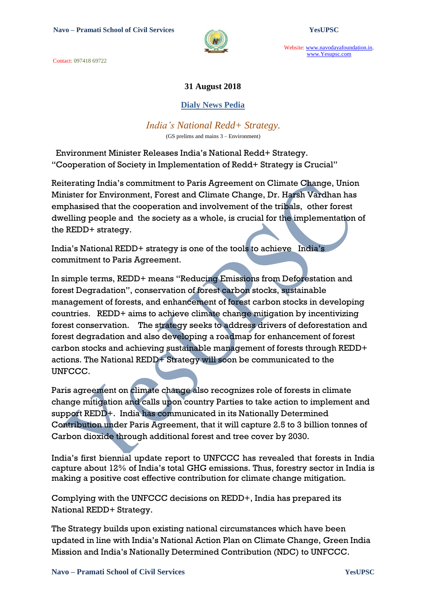Contact: 097418 69722



Website: www.navodayafoundation.in, www.Yesupsc.com

### **31 August 2018**

### **Dialy News Pedia**

### *India's National Redd+ Strategy.*

(GS prelims and mains 3 – Environment)

 Environment Minister Releases India"s National Redd+ Strategy. "Cooperation of Society in Implementation of Redd+ Strategy is Crucial"

Reiterating India"s commitment to Paris Agreement on Climate Change, Union Minister for Environment, Forest and Climate Change, Dr. Harsh Vardhan has emphasised that the cooperation and involvement of the tribals, other forest dwelling people and the society as a whole, is crucial for the implementation of the REDD+ strategy.

India"s National REDD+ strategy is one of the tools to achieve India"s commitment to Paris Agreement.

In simple terms, REDD+ means "Reducing Emissions from Deforestation and forest Degradation", conservation of forest carbon stocks, sustainable management of forests, and enhancement of forest carbon stocks in developing countries. REDD+ aims to achieve climate change mitigation by incentivizing forest conservation. The strategy seeks to address drivers of deforestation and forest degradation and also developing a roadmap for enhancement of forest carbon stocks and achieving sustainable management of forests through REDD+ actions. The National REDD+ Strategy will soon be communicated to the UNFCCC.

Paris agreement on climate change also recognizes role of forests in climate change mitigation and calls upon country Parties to take action to implement and support REDD+. India has communicated in its Nationally Determined Contribution under Paris Agreement, that it will capture 2.5 to 3 billion tonnes of Carbon dioxide through additional forest and tree cover by 2030.

India"s first biennial update report to UNFCCC has revealed that forests in India capture about 12% of India"s total GHG emissions. Thus, forestry sector in India is making a positive cost effective contribution for climate change mitigation.

Complying with the UNFCCC decisions on REDD+, India has prepared its National REDD+ Strategy.

The Strategy builds upon existing national circumstances which have been updated in line with India"s National Action Plan on Climate Change, Green India Mission and India"s Nationally Determined Contribution (NDC) to UNFCCC.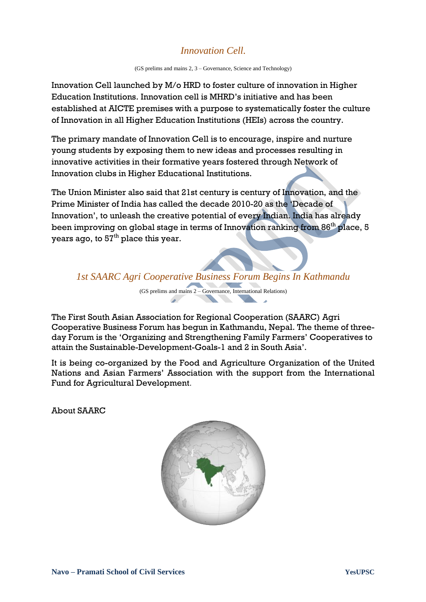## *Innovation Cell.*

(GS prelims and mains 2, 3 – Governance, Science and Technology)

Innovation Cell launched by M/o HRD to foster culture of innovation in Higher Education Institutions. Innovation cell is MHRD"s initiative and has been established at AICTE premises with a purpose to systematically foster the culture of Innovation in all Higher Education Institutions (HEIs) across the country.

The primary mandate of Innovation Cell is to encourage, inspire and nurture young students by exposing them to new ideas and processes resulting in innovative activities in their formative years fostered through Network of Innovation clubs in Higher Educational Institutions.

The Union Minister also said that 21st century is century of Innovation, and the Prime Minister of India has called the decade 2010-20 as the "Decade of Innovation", to unleash the creative potential of every Indian. India has already been improving on global stage in terms of Innovation ranking from 86<sup>th</sup> place, 5 years ago, to  $57<sup>th</sup>$  place this year.

*1st SAARC Agri Cooperative Business Forum Begins In Kathmandu*

(GS prelims and mains 2 – Governance, International Relations)

The First South Asian Association for Regional Cooperation (SAARC) Agri Cooperative Business Forum has begun in Kathmandu, Nepal. The theme of threeday Forum is the "Organizing and Strengthening Family Farmers" Cooperatives to attain the Sustainable-Development-Goals-1 and 2 in South Asia".

It is being co-organized by the Food and Agriculture Organization of the United Nations and Asian Farmers" Association with the support from the International Fund for Agricultural Development.

About SAARC

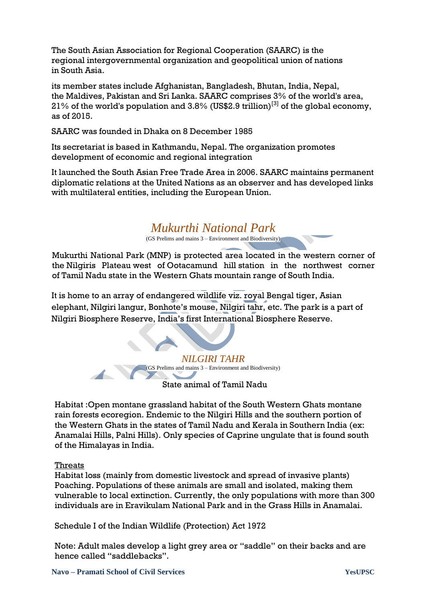The South Asian Association for Regional Cooperation (SAARC) is the regional [intergovernmental organization](https://en.wikipedia.org/wiki/Intergovernmental_organization) and geopolitical union of nations in [South Asia.](https://en.wikipedia.org/wiki/South_Asia)

its member states include [Afghanistan,](https://en.wikipedia.org/wiki/Afghanistan) [Bangladesh,](https://en.wikipedia.org/wiki/Bangladesh) [Bhutan,](https://en.wikipedia.org/wiki/Bhutan) [India,](https://en.wikipedia.org/wiki/India) [Nepal,](https://en.wikipedia.org/wiki/Nepal) the [Maldives,](https://en.wikipedia.org/wiki/Maldives) [Pakistan](https://en.wikipedia.org/wiki/Pakistan) and [Sri Lanka.](https://en.wikipedia.org/wiki/Sri_Lanka) SAARC comprises 3% of the world's area, 21% of the world's population and 3.8% (US\$2.9 trillion)<sup>[\[3\]](https://en.wikipedia.org/wiki/South_Asian_Association_for_Regional_Cooperation#cite_note-imf.org-3)</sup> of the global economy. as of 2015.

SAARC was founded in [Dhaka](https://en.wikipedia.org/wiki/Dhaka) on 8 December 1985

Its secretariat is based in [Kathmandu,](https://en.wikipedia.org/wiki/Kathmandu) Nepal. The organization promotes development of economic and [regional integration](https://en.wikipedia.org/wiki/Regional_integration)

It launched the South [Asian Free Trade Area](https://en.wikipedia.org/wiki/South_Asian_Free_Trade_Area) in 2006. SAARC maintains permanent diplomatic relations at the [United Nations](https://en.wikipedia.org/wiki/United_Nations) as an observer and has developed links with multilateral entities, including the [European Union.](https://en.wikipedia.org/wiki/European_Union)

# *Mukurthi National Park*

(GS Prelims and mains  $3$  – Environment and Biodiversity)

Mukurthi National Park (MNP) is protected area located in the western corner of the Nilgiris Plateau west of Ootacamund hill station in the northwest corner of Tamil Nadu state in the Western Ghats mountain range of South India.

It is home to an array of endangered wildlife viz. royal Bengal tiger, Asian elephant, Nilgiri langur, Bonhote"s mouse, Nilgiri tahr, etc. The park is a part of Nilgiri Biosphere Reserve, India"s first International Biosphere Reserve.

> *NILGIRI TAHR* (GS Prelims and mains 3 – Environment and Biodiversity)

State animal of Tamil Nadu

Habitat :Open montane grassland habitat of the South Western Ghats montane rain forests ecoregion. Endemic to the Nilgiri Hills and the southern portion of the Western Ghats in the states of Tamil Nadu and Kerala in Southern India (ex: Anamalai Hills, Palni Hills). Only species of Caprine ungulate that is found south of the Himalayas in India.

### Threats

Habitat loss (mainly from domestic livestock and spread of invasive plants) Poaching. Populations of these animals are small and isolated, making them vulnerable to local extinction. Currently, the only populations with more than 300 individuals are in Eravikulam National Park and in the Grass Hills in Anamalai.

Schedule I of the Indian Wildlife (Protection) Act 1972

Note: Adult males develop a light grey area or "saddle" on their backs and are hence called "saddlebacks".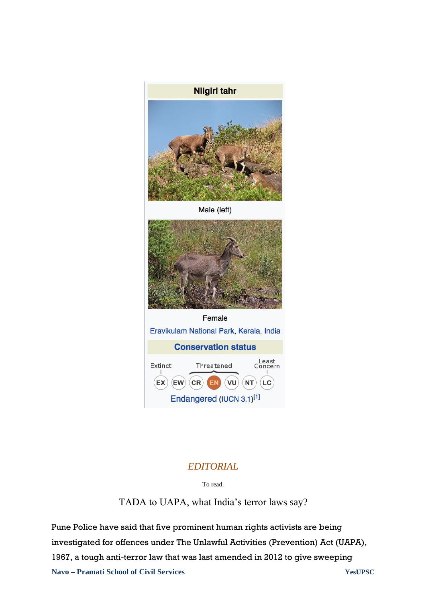

## *EDITORIAL*

To read.

TADA to UAPA, what India's terror laws say?

**Navo – Pramati School of Civil Services YesUPSC** Pune Police have said that five prominent human rights activists are being investigated for offences under The Unlawful Activities (Prevention) Act (UAPA), 1967, a tough anti-terror law that was last amended in 2012 to give sweeping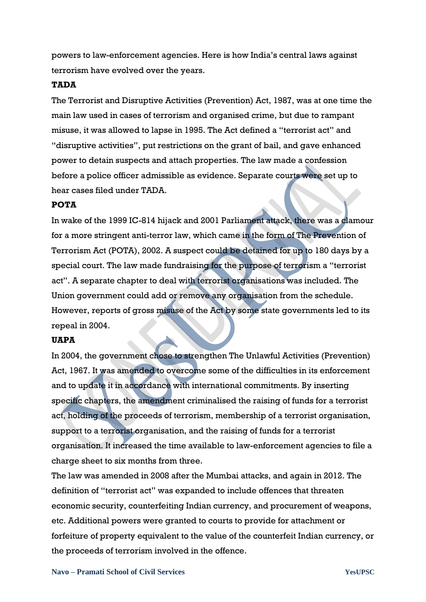powers to law-enforcement agencies. Here is how India"s central laws against terrorism have evolved over the years.

#### **TADA**

The Terrorist and Disruptive Activities (Prevention) Act, 1987, was at one time the main law used in cases of terrorism and organised crime, but due to rampant misuse, it was allowed to lapse in 1995. The Act defined a "terrorist act" and "disruptive activities", put restrictions on the grant of bail, and gave enhanced power to detain suspects and attach properties. The law made a confession before a police officer admissible as evidence. Separate courts were set up to hear cases filed under TADA.

#### **POTA**

In wake of the 1999 IC-814 hijack and 2001 Parliament attack, there was a clamour for a more stringent anti-terror law, which came in the form of The Prevention of Terrorism Act (POTA), 2002. A suspect could be detained for up to 180 days by a special court. The law made fundraising for the purpose of terrorism a "terrorist act". A separate chapter to deal with terrorist organisations was included. The Union government could add or remove any organisation from the schedule. However, reports of gross misuse of the Act by some state governments led to its repeal in 2004.

### **UAPA**

In 2004, the government chose to strengthen The Unlawful Activities (Prevention) Act, 1967. It was amended to overcome some of the difficulties in its enforcement and to update it in accordance with international commitments. By inserting specific chapters, the amendment criminalised the raising of funds for a terrorist act, holding of the proceeds of terrorism, membership of a terrorist organisation, support to a terrorist organisation, and the raising of funds for a terrorist organisation. It increased the time available to law-enforcement agencies to file a charge sheet to six months from three.

The law was amended in 2008 after the Mumbai attacks, and again in 2012. The definition of "terrorist act" was expanded to include offences that threaten economic security, counterfeiting Indian currency, and procurement of weapons, etc. Additional powers were granted to courts to provide for attachment or forfeiture of property equivalent to the value of the counterfeit Indian currency, or the proceeds of terrorism involved in the offence.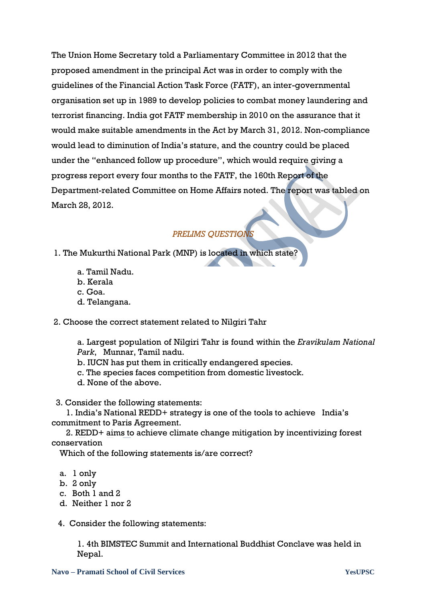The Union Home Secretary told a Parliamentary Committee in 2012 that the proposed amendment in the principal Act was in order to comply with the guidelines of the Financial Action Task Force (FATF), an inter-governmental organisation set up in 1989 to develop policies to combat money laundering and terrorist financing. India got FATF membership in 2010 on the assurance that it would make suitable amendments in the Act by March 31, 2012. Non-compliance would lead to diminution of India"s stature, and the country could be placed under the "enhanced follow up procedure", which would require giving a progress report every four months to the FATF, the 160th Report of the Department-related Committee on Home Affairs noted. The report was tabled on March 28, 2012.

### *PRELIMS QUESTIONS*

- 1. The Mukurthi National Park (MNP) is located in which state?
	- a. Tamil Nadu.
	- b. Kerala
	- c. Goa.
	- d. Telangana.
- 2. Choose the correct statement related to Nilgiri Tahr

a. Largest population of Nilgiri Tahr is found within the *Eravikulam National Park*, Munnar, Tamil nadu.

- b. IUCN has put them in critically endangered species.
- c. The species faces competition from domestic livestock.
- d. None of the above.

3. Consider the following statements:

 1. India"s National REDD+ strategy is one of the tools to achieve India"s commitment to Paris Agreement.

 2. REDD+ aims to achieve climate change mitigation by incentivizing forest conservation

Which of the following statements is/are correct?

- a. 1 only
- b. 2 only
- c. Both 1 and 2
- d. Neither 1 nor 2

4. Consider the following statements:

1. 4th BIMSTEC Summit and International Buddhist Conclave was held in Nepal.